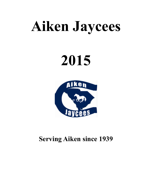# **Aiken Jaycees**

# **2015**



### **Serving Aiken since 1939**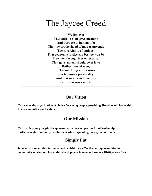## The Jaycee Creed

**We Believe: That faith in God gives meaning And purpose to human life; That the brotherhood of man transcends The sovereignty of nations; That economic justice can best be won by Free men through free enterprise; That government should be of laws Rather than of men; That earth's great treasure Lies in human personality; And that service to humanity Is the best work of life.**

#### **Our Vision**

**============================================** 

**To become the organization of choice for young people, providing direction and leadership to our committees and nation.** 

#### **Our Mission**

**To provide young people the opportunity to develop personal and leadership Skills through community involvement while expanding the Jaycee movement.** 

#### **Simply Put**

**In an environment that fosters true friendship, we offer the best opportunities for community service and leadership development to men and women 18-40 years of age.**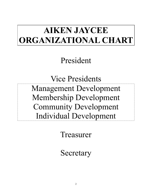# **AIKEN JAYCEE ORGANIZATIONAL CHART**

President

Vice Presidents Management Development Membership Development Community Development Individual Development

Treasurer

Secretary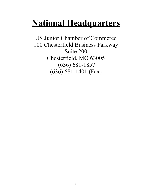## **National Headquarters**

US Junior Chamber of Commerce 100 Chesterfield Business Parkway Suite 200 Chesterfield, MO 63005 (636) 681-1857 (636) 681-1401 (Fax)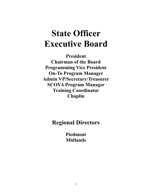## **State Officer Executive Board**

**President Chairman of the Board Programming Vice President On-To Program Manager Admin VP/Secretary/Treasurer SCOYA Program Manager Training Coordinator Chaplin** 

**Regional Directors** 

**Piedmont Midlands**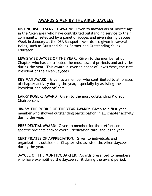#### **AWARDS GIVEN BY THE AIKEN JAYCEES**

**DISTINGUISHED SERVICE AWARD:** Given to individuals of Jaycee age in the Aiken area who have contributed outstanding service to their community. Selected by a panel of judges and given during Jaycee Week in January at the DSA Banquet. Awards are given in several fields, such as Outstand Young Farmer and Outstanding Young Educator.

**LEWIS WISE JAYCEE OF THE YEAR: G**iven to the member of our Chapter who has contributed the most toward projects and activities during the year. This award is given in honor of Lewis Wise, the first President of the Aiken Jaycees

**KEY MAN AWARD:** Given to a member who contributed to all phases of chapter activity during the year, especially by assisting the President and other officers.

**LARRY ROGERS AWARD** Given to the most outstanding Project Chairperson**.**

**JIM SMITHE ROOKIE OF THE YEAR AWARD:** Given to a first-year member who showed outstanding participation in all chapter activity during the year.

**PRESIDENTIAL AWARD:** Given to member for their efforts on specific projects and/or overall dedication throughout the year.

**CERTIFICATES OF APPRECIATION:** Given to individuals and organizations outside our Chapter who assisted the Aiken Jaycees during the year.

**JAYCEE OF THE MONTH/QUARTER:** Awards presented to members who have exemplified the Jaycee spirit during the award period.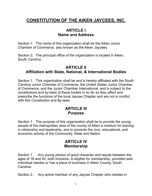#### **CONSTITUTION OF THE AIKEN JAYCEES, INC.**

#### **ARTICLE I Name and Address**

Section 1. The name of this organization shall be the Aiken Junior Chamber of Commerce, also known as the Aiken Jaycees.

Section 2. The principal office of the organization is located in Aiken, South Carolina.

#### **ARTICLE II Affiliation with State, National, & International Bodies**

Section 1. This organization shall be and is hereby affiliated with the South Carolina Junior Chamber of Commerce, the United States Junior Chamber of Commerce, and the Junior Chamber International, and is subject to the constitutions and by-laws of these bodies in so far as they affect and prescribe the functions of the local Jaycee Chapter and are not in conflict with this Constitution and By-laws.

#### **ARTICLE III Purpose**

Section 1. The purpose of this organization shall be to provide the young people of the metropolitan area of the county of Aiken a medium for training in citizenship and leadership, and to promote the civic, educational, and economic activity of the Community, State and Nation.

#### **ARTICLE IV Membership**

Section 1. Any young person of good character and repute between the ages of 18 and 40, both inclusive, is eligible for membership, provided said individual resides or has a place of business in Aiken County, South **Carolina** 

Section 2. Any active member of any Jaycee Chapter who resides in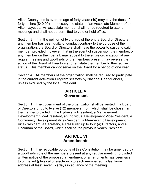Aiken County and is over the age of forty years (40) may pay the dues of forty dollars (\$40.00) and occupy the status of an Associate Member of the Aiken Jaycees. An associate member shall not be required to attend meetings and shall not be permitted to vote or hold office.

Section 3. If, in the opinion of two-thirds of the entire Board of Directors, any member has been guilty of conduct contrary to the purpose of the organization, the Board of Directors shall have the power to suspend said member, provided, however, that in the event of suspension the member, or any member on their behalf, may appeal to the entire organization at any regular meeting and two-thirds of the members present may reverse the action of the Board of Directors and reinstate the member to their active status. This member cannot serve on the Board for a period of one year.

Section 4. All members of the organization shall be required to participate in the current Activation Program set forth by National Headquarters, unless excused by the local President.

#### **ARTICLE V Government**

Section 1. The government of the organization shall be vested in a Board of Directors of up to twelve (12) members, from which shall be chosen in the manner provided in the By-laws, a President, a Management Development Vice-President, an Individual Development Vice-President, a Community Development Vice-President, a Membership Development Vice-President, a Secretary, a Treasurer, up to four (4) Directors, and a Chairman of the Board, which shall be the previous year's President.

#### **ARTICLE VI Amendments**

Section 1. The revocable portions of this Constitution may be amended by a two-thirds vote of the members present at any regular meeting, provided written notice of the proposed amendment or amendments has been given to or mailed (physical or electronic) to each member at his last known address at least seven (7) days in advance of the meeting.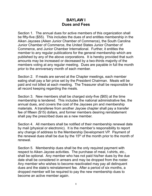#### **BAYLAW I Dues and Fees**

Section 1. The annual dues for active members of this organization shall be fifty-five (\$55). This includes the dues of and entitles membership in the Aiken Jaycees (Aiken Junior Chamber of Commerce), the South Carolina Junior Chamber of Commerce, the United States Junior Chamber of Commerce, and Junior Chamber International. Further, it entitles the member to any regular publications for the general membership which are published by any of the above corporations. It is hereby provided that such amounts may be increased or decreased by a two-thirds majority of the members voting at any regular meeting. Dues are payable in full the month prior to the anniversary month of each member.

Section 2. If meals are served at the Chapter meetings, each member eating shall pay a fair price set by the President Chairman. Meals will be paid and not billed at each meeting. The Treasurer shall be responsible for all record keeping regarding the meals.

Section 3. New members shall be charged sixty-five (\$65) at the time membership is tendered. This includes the national administrative fee, the annual dues, and covers the cost of the Jaycees pin and membership materials. A transferee from another Jaycee chapter shall pay a transfer fee of fifteen (\$15) dollars, and former members desiring reinstatement shall pay the prescribed dues as a new member.

Section 4. All members shall be notified of their membership renewal date by mail (physical or electronic). It is the member's responsibility to report any change of address to the Membership Development VP. Payment of the renewal dues shall be due by the  $15<sup>th</sup>$  of the month prior to the month of renewal.

Section 5. Membership dues shall be the only required payment with respect to Aiken Jaycee activities. The purchase of meal, t-shirts, etc., shall be optional. Any member who has not paid his/her dues by the due date shall be considered in arrears and may be dropped from the roster. Any member who wishes to become reactivated may pay all delinquent dues and the state's reinstatement fee. After a period of six months, a dropped member will be required to pay the new membership dues to become an active member again.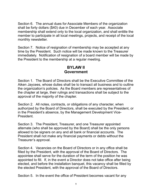Section 6. The annual dues for Associate Members of the organization shall be forty dollars (\$40) due in December of each year. Associate membership shall extend only to the local organization, and shall entitle the member to participate in all local meetings, projects, and receipt of the local monthly newsletter.

Section 7. Notice of resignation of membership may be accepted at any time by the President. Such notice will be made known to the Treasurer immediately. Notification of resignation of a board member will be made by the President to the membership at a regular meeting.

#### **BYLAW II Government**

Section 1. The Board of Directors shall be the Executive Committee of the Aiken Jaycees, whose duties shall be to transact all business and to outline the organization's policies. As the Board members are representatives of the chapter at large, their rulings and transactions shall be subject to the approval of the majority of the chapter.

Section 2. All notes, contracts, or obligations of any character, when authorized by the Board of Directors, shall be executed by the President, or in the President's absence, by the Management Development Vice-**President** 

Section 3. The President, Treasurer, and one Treasurer appointed alternate (who shall be approved by the Board) shall be the only persons allowed to be signers on any and all bank or financial accounts. The President shall not make any financial payments or debts without the Treasurer's approval.

Section 4. Vacancies on the Board of Directors or in any office shall be filled by the President, with the approval of the Board of Directors. The appointee shall serve for the duration of the term of the position he was appointed to fill. If, in the event a Director does not take office after being elected, and before the installation banquet, this vacancy shall be filled by the elected President, with the approval of the Board of Directors.

Section 5. In the event the office of President becomes vacant for any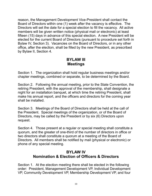reason, the Management Development Vice-President shall contact the Board of Directors within one (1) week after the vacancy is effective. The Directors will set the date for a special election to fill the vacancy. All active members will be given written notice (physical mail or electronic) at least fifteen (15) days in advance of this special election. A new President will be elected for the current Board of Directors (pursuant to procedure set forth in Bylaw IV, Section 3). Vacancies on the Board of Directors, or in any other office, after the election, shall be filled by the new President, as prescribed by Bylaw II, Section 4.

#### **BYLAW III Meetings**

Section 1. The organization shall hold regular business meetings and/or chapter meetings, combined or separate, to be determined by the Board.

Section 2. Following the annual meeting, prior to the State Convention, the retiring President, with the approval of the membership, shall designate a night for an installation banquet, at which time the retiring President, shall make his annual report, and the officers and directors for the coming year shall be installed.

Section 3. Meetings of the Board of Directors shall be held at the call of the President. Special meetings of the organization, or of the Board of Directors, may be called by the President or by six (6) Directors upon request.

Section 4. Those present at a regular or special meeting shall constitute a quorum, and the greater of one-third of the number of directors in office or two directors shall constitute a quorum at a meeting of the Board of Directors. All members shall be notified by mail (physical or electronic) or phone of any special meeting.

#### **BYLAW IV Nomination & Election of Officers & Directors**

Section 1. At the election meeting there shall be elected in the following order: President, Management Development VP, Individual Development VP, Community Development VP, Membership Development VP, and four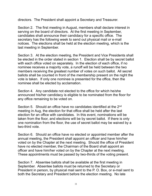directors. The President shall appoint a Secretary and Treasurer.

Section 2. The first meeting in August, members shall declare interest in serving on the board of directors. At the first meeting in September, candidates shall announce their candidacy for a specific office. The secretary has the following week to send out physical mail or e-mail notices. The elections shall be held at the election meeting, which is the last meeting in September.

Section 3. At the election meeting, the President and Vice Presidents shall be elected in the order stated in section 1. Election shall be by secret ballot with each office voted on separately. In the election of each office, if no nominee receives a majority vote, a runoff will be held between the two members receiving the greatest number of votes on such ballot. All secret ballots shall be counted in front of the membership present on the night the vote is taken. If only one nominee is presented for the office, then the nominee shall be elected by acclamation.

Section 4. Any candidate not elected to the office for which he/she announced his/her candidacy is eligible to be nominated from the floor for any office remaining to be voted on.

Section 5. Should an office have no candidates identified at the 2nd meeting in Aug, the election for that office shall be held after the last election for an office with candidates. In this event, nominations will be taken from the floor, and elections will be by secret ballot. If there is only one nomination from the floor, the use of secret ballot may be waived by a two-third vote.

Section 6. Should an office have no elected or appointed member after the annual meeting, the President shall appoint an officer and have him/her voted on by the Chapter at the next meeting. Should the office of President have no elected member, the Chairman of the Board shall appoint an officer and have him/her voted on by the Chapter at the next meeting. These appointments must be passed by two-thirds of the voting present.

Section 7. Absentee ballots shall be available at the first meeting in September. Absentee ballots must be returned to the Secretary or President in person, by physical mail sent to the P. O. Box, or e-mail sent to both the Secretary and President before the election meeting. No late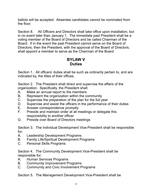ballots will be accepted. Absentee candidates cannot be nominated from the floor.

Section 8. All Officers and Directors shall take office upon installation, but in no event later than January 1. The immediate past President shall be a voting member of the Board of Directors and be called Chairman of the Board. If in the event the past President cannot serve on the Board of Directors, then the President, with the approval of the Board of Directors, shall appoint a member to serve as the Chairman of the Board.

#### **BYLAW V Duties**

Section 1. All officers' duties shall be such as ordinarily pertain to, and are indicated by, the titles of their offices.

Section 2. The President shall direct and supervise the affairs of the organization. Specifically, the President shall:

- A. Make an annual report to the members
- B. Represent the organization within the community
- C. Supervise the preparation of the plan for the full year
- D. Supervise and assist the officers in the performance of their duties
- E. Answer correspondence promptly
- F. Preside and maintain order at all meetings or delegate this responsibility to another officer
- G. Preside over Board of Directors meetings

Section 3. The Individual Development Vice-President shall be responsible for:

- A. Leadership Development Programs
- B. Family Life/Spiritual Development Programs
- C. Personal Skills Programs

Section 4. The Community Development Vice-President shall be responsible for:

- A. Human Services Programs
- B. Community Improvement Programs
- C. Community and Civic Involvement Programs

Section 5. The Management Development Vice-President shall be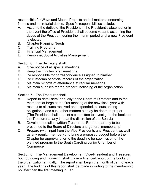responsible for Ways and Means Projects and all matters concerning finance and secretarial duties. Specific responsibilities include:

- A. Assume the duties of the President in the President's absence, or in the event the office of President shall become vacant, assuming the duties of the President during the interim period until a new President is elected
- B. Chapter Planning Needs
- C. Training Programs
- D. Financial Management
- E. Personnel/Social Activities Management

Section 6. The Secretary shall:

- A. Give notice of all special meetings
- B. Keep the minutes of all meetings
- C. Be responsible for correspondence assigned to him/her
- D. Be custodian of official records of the organization
- E. Maintain records of attendance at regular meetings
- F. Maintain supplies for the proper functioning of the organization

Section 7. The Treasurer shall:

- A. Report in detail semi-annually to the Board of Directors and to the members at large at the first meeting of the new fiscal year with respect to all sums received and expended, all outstanding obligations, and such other matters as may be deemed proper (The President shall appoint a committee to investigate the books of the Treasurer at any time at the discretion of the Board.)
- B. Develop a detailed written Treasurer's Report quarterly to be presented to the Board of Directors and general membership
- C. Prepare (with input from the Vice-Presidents and President, as well as any regular member) and bring a proposed budget before the Chapter for approval prior to the deadline for submission of the planned program to the South Carolina Junior Chamber of **Commerce**

Section 8. The Management Development Vice-President and Treasurer, both outgoing and incoming, shall make a financial report of the books of the organization annually. The report shall begin the month of Jan. of each year. The findings of this report shall be made in writing to the membership no later than the first meeting in Feb.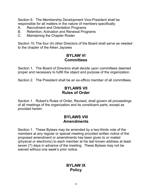Section 9. The Membership Development Vice-President shall be responsible for all matters in the nature of members specifically:

- A. Recruitment and Orientation Programs
- B. Retention, Activation and Renewal Programs
- C. Maintaining the Chapter Roster

Section 10. The four (4) other Directors of the Board shall serve as needed to the chapter of the Aiken Jaycees

#### **BYLAW VI Committees**

Section 1. The Board of Directors shall decide upon committees deemed proper and necessary to fulfill the object and purpose of the organization.

Section 2. The President shall be an ex-officio member of all committees.

#### **BYLAWS VII Rules of Order**

Section 1. Robert's Rules of Order, Revised, shall govern all proceedings of all meetings of the organization and its constituent parts, except as provided herein.

#### **BYLAWS VIII Amendments**

Section 1. These Bylaws may be amended by a two-thirds vote of the members at any regular or special meeting provided written notice of the proposed amendment or amendments has been given to or mailed (physical or electronic) to each member at his last known address at least seven (7) days in advance of the meeting. These Bylaws may not be waived without one week's prior notice.

#### **BYLAW IX Policy**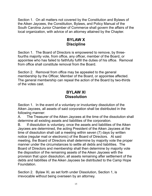Section 1. On all matters not covered by the Constitution and Bylaws of the Aiken Jaycees, the Constitution, Bylaws, and Policy Manual of the South Carolina Junior Chamber of Commerce shall govern the affairs of the local organization, with advice of an attorney attained by the Chapter.

#### **BYLAW X Discipline**

Section 1. The Board of Directors is empowered to remove, by threefourths majority vote, from office, any officer, member of the Board, or appointee who has failed to faithfully fulfill the duties of his office. Removal from office shall constitute removal from the Board.

Section 2. Removal from office may be appealed to the general membership by the Officer, Member of the Board, or appointee affected. The general membership can repeal the action of the Board by two-thirds of the votes cast.

#### **BYLAW XI Dissolution**

Section 1. In the event of a voluntary or involuntary dissolution of the Aiken Jaycees, all assets of said corporation shall be distributed in the following manner:

A. The Treasurer of the Aiken Jaycees at the time of the dissolution shall determine all existing assets and liabilities of the corporation.

B. If dissolution is voluntary, once the assets and liabilities of the Aiken Jaycees are determined, the acting President of the Aiken Jaycees at the time of dissolution shall call a meeting within seven (7) days by written notice (regular mail or electronic) of the Board of Directors. At said meeting, the Board of Directors shall determine by majority vote the proper manner under the circumstances to settle all debts and liabilities. The Board of Directors and membership shall then determine by majority vote the disposition of the remaining assets of the Aiken Jaycees with the provision that upon dissolution, all assets remaining after settlement of the debts and liabilities of the Aiken Jaycees be distributed to the Camp Hope Foundation.

Section 2. Bylaw XI, as set forth under Dissolution, Section 1, is irrevocable without being overseen by an attorney.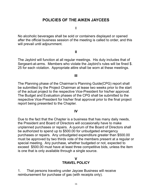#### **POLICIES OF THE AIKEN JAYCEES**

**I**

No alcoholic beverages shall be sold or containers displayed or opened after the official business session of the meeting is called to order, and this will prevail until adjournment.

#### **II**

The Jaybird will function at all regular meetings. His duty includes that of Sergeant-at-arms. Members who violate the Jaybird's rules will be fined \$. 25 for each violation. Appropriate attire shall be worn at these meetings.

#### **III**

The Planning phase of the Chairman's Planning Guide(CPG) report shall be submitted by the Project Chairman at lease two weeks prior to the start of the actual project to the respective Vice-President for his/her approval. The Budget and Evaluation phases of the CPG shall be submitted to the respective Vice-President for his/her final approval prior to the final project report being presented to the Chapter.

#### **IV**

Due to the fact that the Chapter is a business that has many daily needs, the President and Board of Directors will occasionally have to make unplanned purchases or repairs. A quorum of the Board of Directors shall be authorized to spend up to \$500.00 for unbudgeted emergency purchases or repairs. Any unbudgeted expenditure greater than \$500.00 must be approved by two thirds vote of the members present at a regular or special meeting. Any purchase, whether budgeted or not, expected to exceed \$500.00 must have at least three competitive bids, unless the item is one that is only available through a single source.

#### **V TRAVEL POLICY**

1. That persons traveling under Jaycee Business will receive reimbursement for purchase of gas (with receipts only).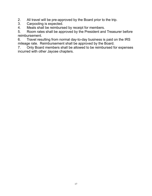2. All travel will be pre-approved by the Board prior to the trip.<br>3. Carpooling is expected.

Carpooling is expected.

4. Meals shall be reimbursed by receipt for members.

5. Room rates shall be approved by the President and Treasurer before reimbursement.

6. Travel resulting from normal day-to-day business is paid on the IRS mileage rate. Reimbursement shall be approved by the Board.

7. Only Board members shall be allowed to be reimbursed for expenses incurred with other Jaycee chapters.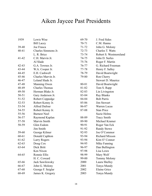### Aiken Jaycee Past Presidents

| 1939      | Lewis Wise            | 69-70     | J. Fred Sides          |  |
|-----------|-----------------------|-----------|------------------------|--|
|           | <b>Bill Lacey</b>     | $70 - 71$ | C.M. Hanna             |  |
| 39-40     | Joe Frasca            | 71-72     | John G. Molony         |  |
| $40 - 41$ | Charles Simmons Jr.   | $72 - 73$ | Charles T. Watts       |  |
|           | L. R. Brice           | 73-74     | Robert S. Westmoreland |  |
| 41-42     | C.H. Marvin Jr.       | 74-75     | John D. Surles         |  |
|           | Al Slade              | $75 - 76$ | Roger F. Martin        |  |
| 42-43     | G.A. Townes Jr.       | 76-77     | G. Richard Freeman     |  |
| 43-44     | W.A. Cooper Jr.       | 77-78     | Henry F. Salley        |  |
| 44-45     | E.H. Cashwell         | 78-79     | David Boatwright       |  |
| 45-46     | Charles Marvin Jr.    | 79-80     | Ron Cherry             |  |
| 46-47     | Leland Slade Jr.      |           | Stewart D. Maurice     |  |
| 47-48     | Manning Owen          | 80-81     | David Boatwright       |  |
| 48-49     | <b>Charles Thomas</b> | 81-82     | Tom S. Rapp            |  |
| 49-50     | Herman Blake Jr.      | 82-83     | Lin Livingston         |  |
| 50-51     | Gary Anderson Jr.     | 83-84     | Ray Blanks             |  |
| 51-52     | Robert Coppedge       | 84-84     | <b>Bob Parris</b>      |  |
| 52-53     | Robert Kenny Jr.      | 85-86     | Jim Stewart            |  |
| 53-54     | Alfred Dufour         | 86-87     | Warren Lucas           |  |
| 54-55     | Robert Kenny Jr.      | 87-88     | <b>Stan Price</b>      |  |
| 55-56     | <b>Burnest Neel</b>   |           | Suzie Helms            |  |
| 56-57     | Raymond Kaplan        | 88-89     | <b>Tracy Smith</b>     |  |
| 57-58     | Marvin Smith          | 89-90     | Michael Kramer         |  |
| 58-59     | Glen Esdom            | 90-91     | Roger Van Eck          |  |
|           | Jim Smith             | 91-92     | <b>Randy Stowe</b>     |  |
| 59-60     | George Kilmer         | 92-93     | Joe O'Commor           |  |
| 60-61     | Donald Caphton        | 93-94     | Richard Mixson         |  |
| 61-62     | Larry Rogers          | 93-94     | Kim O' Connor          |  |
| $62 - 63$ | Doug Cox              | 94-95     | Mike Fanning           |  |
| 63-64     | Dick Britt            | 96-97     | Dan Bullington         |  |
|           | Ken Nixon             | 97-98     | Lisa Lown              |  |
| 64-65     | Ronnie Ellis          | 98-99     | Mary Wolf              |  |
|           | H. C. Coward          | 99-00     | <b>Tommy Molony</b>    |  |
| 65-66     | Jack Sawilowsky       | 2000      | Laura Shelley          |  |
| 66-67     | John G. Molony        | 2001      | Tonya Mundy            |  |
| 67-68     | George F. Seiglar     | 2002      | <b>Elaine Grice</b>    |  |
| 68-69     | James K. Gregory      | 2003      | Tonya Mundy            |  |
|           |                       |           |                        |  |